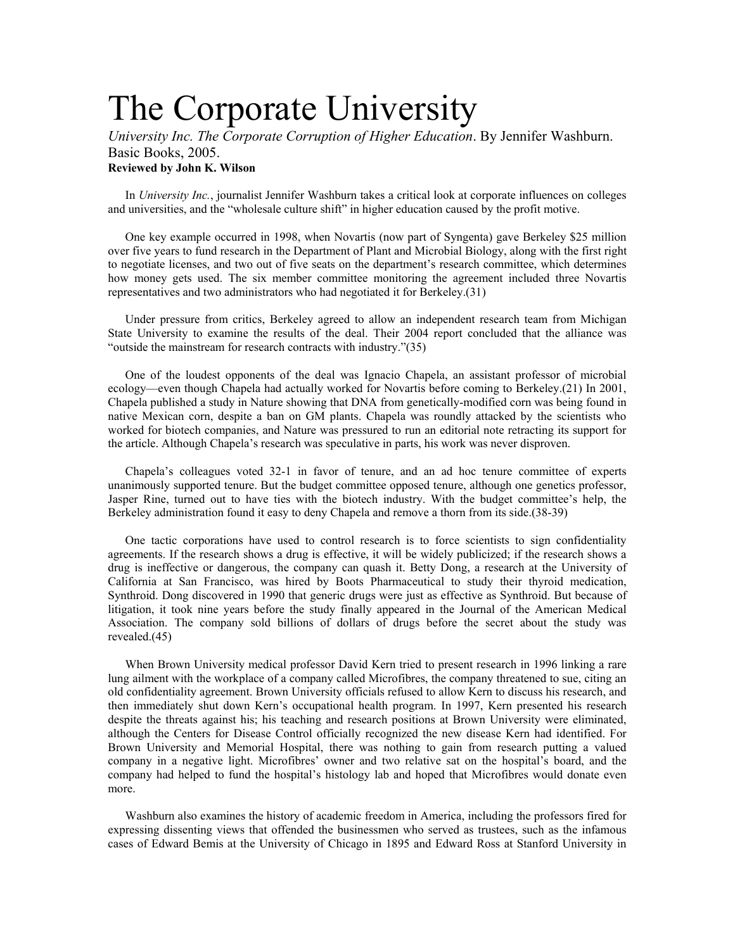## The Corporate University

*University Inc. The Corporate Corruption of Higher Education*. By Jennifer Washburn. Basic Books, 2005. **Reviewed by John K. Wilson** 

In *University Inc.*, journalist Jennifer Washburn takes a critical look at corporate influences on colleges and universities, and the "wholesale culture shift" in higher education caused by the profit motive.

One key example occurred in 1998, when Novartis (now part of Syngenta) gave Berkeley \$25 million over five years to fund research in the Department of Plant and Microbial Biology, along with the first right to negotiate licenses, and two out of five seats on the department's research committee, which determines how money gets used. The six member committee monitoring the agreement included three Novartis representatives and two administrators who had negotiated it for Berkeley.(31)

Under pressure from critics, Berkeley agreed to allow an independent research team from Michigan State University to examine the results of the deal. Their 2004 report concluded that the alliance was "outside the mainstream for research contracts with industry."(35)

One of the loudest opponents of the deal was Ignacio Chapela, an assistant professor of microbial ecology—even though Chapela had actually worked for Novartis before coming to Berkeley.(21) In 2001, Chapela published a study in Nature showing that DNA from genetically-modified corn was being found in native Mexican corn, despite a ban on GM plants. Chapela was roundly attacked by the scientists who worked for biotech companies, and Nature was pressured to run an editorial note retracting its support for the article. Although Chapela's research was speculative in parts, his work was never disproven.

Chapela's colleagues voted 32-1 in favor of tenure, and an ad hoc tenure committee of experts unanimously supported tenure. But the budget committee opposed tenure, although one genetics professor, Jasper Rine, turned out to have ties with the biotech industry. With the budget committee's help, the Berkeley administration found it easy to deny Chapela and remove a thorn from its side.(38-39)

One tactic corporations have used to control research is to force scientists to sign confidentiality agreements. If the research shows a drug is effective, it will be widely publicized; if the research shows a drug is ineffective or dangerous, the company can quash it. Betty Dong, a research at the University of California at San Francisco, was hired by Boots Pharmaceutical to study their thyroid medication, Synthroid. Dong discovered in 1990 that generic drugs were just as effective as Synthroid. But because of litigation, it took nine years before the study finally appeared in the Journal of the American Medical Association. The company sold billions of dollars of drugs before the secret about the study was revealed.(45)

When Brown University medical professor David Kern tried to present research in 1996 linking a rare lung ailment with the workplace of a company called Microfibres, the company threatened to sue, citing an old confidentiality agreement. Brown University officials refused to allow Kern to discuss his research, and then immediately shut down Kern's occupational health program. In 1997, Kern presented his research despite the threats against his; his teaching and research positions at Brown University were eliminated, although the Centers for Disease Control officially recognized the new disease Kern had identified. For Brown University and Memorial Hospital, there was nothing to gain from research putting a valued company in a negative light. Microfibres' owner and two relative sat on the hospital's board, and the company had helped to fund the hospital's histology lab and hoped that Microfibres would donate even more.

Washburn also examines the history of academic freedom in America, including the professors fired for expressing dissenting views that offended the businessmen who served as trustees, such as the infamous cases of Edward Bemis at the University of Chicago in 1895 and Edward Ross at Stanford University in